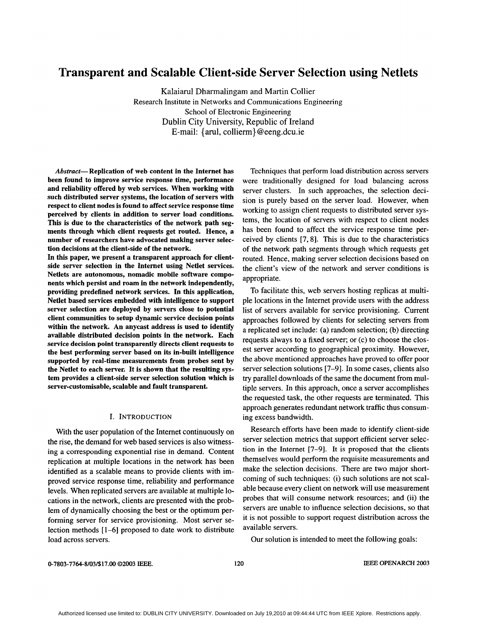# Transparent and Scalable Client-side Server Selection using Netlets

Kalaiarul Dharmalingam and Martin Collier Research Institute in Networks and Communications Engineering School of Electronic Engineering Dublin City University, Republic of Ireland E-mail: { arul, collierm} @eeng.dcu.ie

Abstract-Replication of web content in the Internet has been found to improve service response time, performance and reliability offered by web services. When working with such distributed server systems, the location of servers with respect to client nodes is found to affect service response time perceived by clients in addition to server load conditions. This is due to the characteristics of the network path segments through which client requests get routed. Hence, a number of researchers have advocated making server selection decisions at the client-side of the network.

In this paper, we present a transparent approach for clientside server selection in the Internet using Netlet services. Netlets are autonomous, nomadic mobile software components which persist and roam in the network independently, providing predefined network services. In this application, Netlet based services embedded with intelligence to support server selection are deployed by servers close to potential client communities to setup dynamic service decision points within the network. An anycast address is used to identify available distributed decision points in the network. Each service decision point transparently directs client requests to the best performing server based on its in-built intelligence supported by real-time measurements from probes sent by the Netlet to each server. It is shown that the resulting system provides **a** client-side server selection solution which is server-customisable, scalable and fault transparent.

# I. INTRODUCTION

With the user population of the Internet continuously on the rise, the demand for web based services is also witnessing a corresponding exponential rise in demand. Content replication at multiple locations in the network has been identified as a scalable means to provide clients with improved service response time, reliability and performance levels. When replicated servers are available at multiple locations in the network, clients are presented with the problem of dynamically choosing the best or the optimum performing server for service provisioning. Most server selection methods **[I-61** proposed to date work to distribute load across servers.

Techniques that perform load distribution across servers were traditionally designed for load balancing across server clusters. In such approaches, the selection decision is purely based on the server load. However, when working to assign client requests to distributed server systems, the location of servers with respect to client nodes has been found to affect the service response time perceived by clients *[7,8].* This is due to the characteristics of the network path segments through which requests get routed. Hence, making server selection decisions based on the client's view of the network and server conditions is appropriate.

To facilitate this, web servers hosting replicas at multiple locations in the Internet provide users with the address list of servers available for service provisioning. Current approaches followed by clients for selecting servers from a replicated set include: (a) random selection; (b) directing requests always to a fixed server; or (c) to choose the closest server according to geographical proximity. However, the above mentioned approaches have proved to offer poor server selection solutions [7-9]. In some cases, clients also try parallel downloads of the same the document from multiple servers. In this approach, once a server accomplishes the requested task, the other requests are terminated. This approach generates redundant network traffic thus consuming excess bandwidth.

Research efforts have been made to identify client-side server selection metrics that support efficient server selection in the Internet *[7-91.* It is proposed that the clients themselves would perform the requisite measurements and make the selection decisions. There are two major shortcoming of such techniques: (i) such solutions are not scalable because every client on network will use measurement probes that will consume network resources; and (ii) the servers are unable to influence selection decisions, so that it is not possible to support request distribution across the available servers.

Our solution is intended to meet the following goals:

**0-7803-7764-8/03/\$17.00 Q2003** IEEE.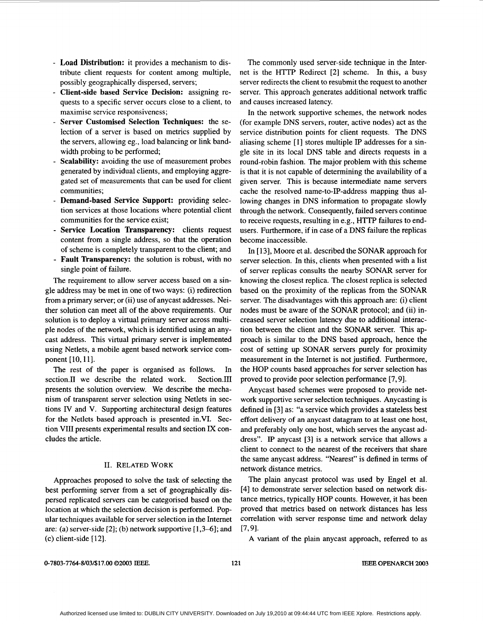- **Load Distribution:** it provides a mechanism to distribute client requests for content among multiple, possibly geographically dispersed, servers;
- **Client-side based Service Decision:** assigning requests to a specific server occurs close to a client, to maximise service responsiveness;
- **Server Customised Selection Techniques:** the selection of a server is based on metrics supplied by the servers, allowing eg., load balancing or link bandwidth probing to be performed;
- Scalability: avoiding the use of measurement probes generated by individual clients, and employing aggregated set of measurements that can be used for client communities;
- **Demand-based Service Support:** providing selection services at those locations where potential client communities for the service exist;
- **Service Location Transparency:** clients request content from a single address, so that the operation of scheme is completely transparent to the client; and
- **Fault Transparency:** the solution is robust, with no single point of failure.

The requirement to allow server access based on **a** single address may be met in one of two ways: (i) redirection from a primary server; or (ii) use of anycast addresses. Neither solution can meet all of the above requirements. Our solution is to deploy a virtual primary server across multiple nodes of the network, which is identified using an anycast address. This virtual primary server is implemented using Netlets, a mobile agent based network service component [10, 11].

In section.II we describe the related work. Section.III presents the solution overview. We describe the mechanism of transparent server selection using Netlets in sections IV and V. Supporting architectural design features for the Netlets based approach is presented in.VI. Section VI11 presents experimental results and section **IX** concludes the article. The rest of the paper is organised as follows.

# 11. RELATED WORK

Approaches proposed to solve the task of selecting the best performing server from a set of geographically dispersed replicated servers can be categorised based on the location at which the selection decision is performed. Popular techniques available for server selection in the Internet are: (a) server-side  $[2]$ ; (b) network supportive  $[1,3-6]$ ; and (c) client-side [12].

The commonly used server-side technique in the Internet is the HTTP Redirect [2] scheme. In this, a busy server redirects the client to resubmit the request to another server. This approach generates additional network traffic and causes increased latency.

In the network supportive schemes, the network nodes (for example DNS servers, router, active nodes) act as the service distribution points for client requests. The DNS aliasing scheme [I] stores multiple IP addresses for a single site in its local DNS table and directs requests in a round-robin fashion. The major problem with this scheme is that it is not capable of determining the availability of a given server. This is because intermediate name servers cache the resolved name-to-IP-address mapping thus allowing changes in DNS information to propagate slowly through the network. Consequently, failed servers continue to receive requests, resulting in e.g., HTTP failures to endusers. Furthermore, if in case **of** a DNS failure the replicas become inaccessible.

In [13], Moore et al. described the SONAR approach for server selection. In this, clients when presented with a list of server replicas consults the nearby SONAR server for knowing the closest replica. The closest replica is selected based on the proximity of the replicas from the SONAR server. The disadvantages with this approach are: (i) client nodes must be aware of the SONAR protocol; and (ii) increased server selection latency due to additional interaction between the client and the **SONAR** server. This approach is similar to the DNS based approach, hence the cost of setting up SONAR servers purely for proximity measurement in the Internet is not justified. Furthermore, the HOP counts based approaches for server selection has proved to provide poor selection performance *[7,9].* 

Anycast based schemes were proposed to provide network supportive server selection techniques. Anycasting is defined in [3] as: "a service which provides a stateless best effort delivery of an anycast datagram to at least one host, and preferably only one host, which serves the anycast address". IP anycast [3] is a network service that allows a client to connect to the nearest of the receivers that share the same anycast address. "Nearest" is defined in terms of network distance metrics.

The plain anycast protocol was used by Engel et al. **[4]** to demonstrate server selection based on network distance metrics, typically HOP counts. However, it has been proved that metrics based on network distances has less correlation with server response time and network delay  $[7, 9]$ .

A variant of the plain anycast approach, referred to as

**0-7803-7764-8/03/\$17.00 92003 IEEE. 121** IEEE **OPENARCH 2003**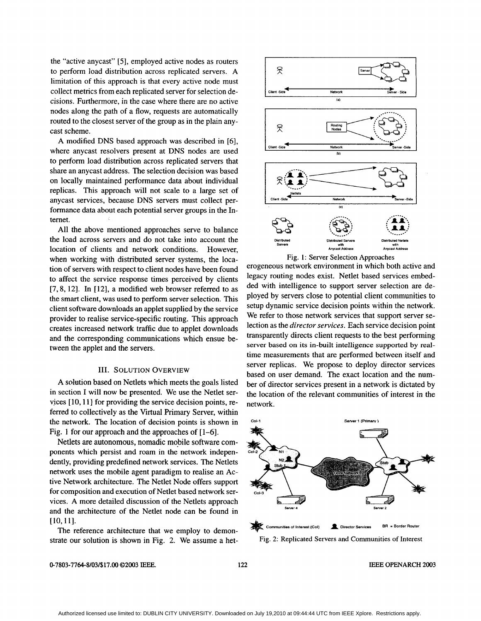the "active anycast" *[5],* employed active nodes as routers to perform load distribution across replicated servers. A limitation of this approach is that every active node must collect metrics from each replicated server for selection decisions. Furthermore, in the case where there are no active nodes along the path of a flow, requests are automatically routed to the closest server of the group as in the plain anycast scheme.

A modified DNS based approach was described in *[6],*  where anycast resolvers present at DNS nodes are used to perform load distribution across replicated servers that share an anycast address. The selection decision was based on locally maintained performance data about individual replicas. This approach will not scale to a large set of anycast services, because DNS servers must collect performance data about each potential server groups in the Internet.

All the above mentioned approaches serve to balance the load across servers and do not take into account the location of clients and network conditions. However, when working with distributed server systems, the location of servers with respect to client nodes have been found to affect the service response times perceived by clients  $[7, 8, 12]$ . In  $[12]$ , a modified web browser referred to as the smart client, was used to perform server selection. This client software downloads an applet supplied by the service provider to realise service-specific routing. This approach creates increased network traffic due to applet downloads and the corresponding communications which ensue between the applet and the servers.

#### 111. **SOLUTION OVERVIEW**

A solution based on Netlets which meets the goals listed in section I will now be presented. We use the Netlet services [ 10,111 for providing the service decision points, referred to collectively as the Virtual Primary Server, within the network. The location of decision points is shown in Fig. 1 for our approach and the approaches of  $[1-6]$ .

Netlets are autonomous, nomadic mobile software components which persist and roam in the network independently, providing predefined network services. The Netlets network uses the mobile agent paradigm to realise an Active Network architecture. The Netlet Node offers support for composition and execution of Netlet based network services. A more detailed discussion of the Netlets approach and the architecture of the Netlet node can be found in [ 10,111.

The reference architecture that we employ to demonstrate our solution is shown in Fig. 2. We assume a het-



erogeneous network environment in which both active and legacy routing nodes exist. Netlet based services embedded with intelligence to support server selection are deployed by servers close to potential client communities to setup dynamic service decision points within the network. We refer to those network services that support server selection as the director services. Each service decision point transparently directs client requests to the best performing server based on its in-built intelligence supported by realtime measurements that are performed between itself and server replicas. We propose to deploy director services based on user demand. The exact location and the number of director services present in a network is dictated by the location of the relevant communities of interest in the network.



Fig. 2: Replicated Servers and Communities of Interest

**0-7803-7764-8/03/\$17.00 92003 IEEE. 122 IEEE OPENARCH 2003**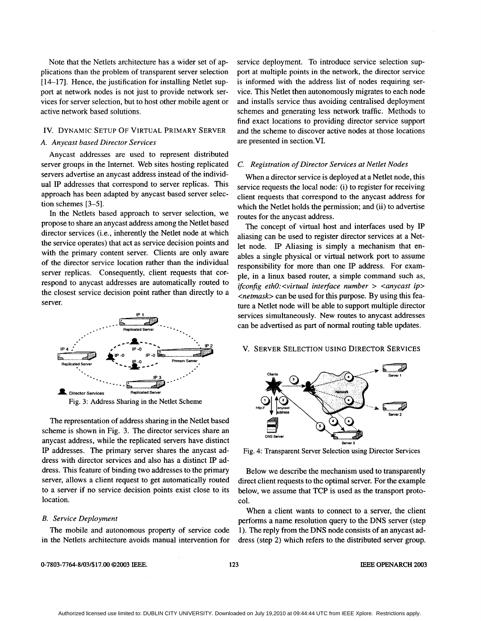Note that the Netlets architecture has a wider set of applications than the problem of transparent server selection [14-17]. Hence, the justification for installing Netlet support at network nodes is not just to provide network services for server selection, but to host other mobile agent or active network based solutions.

# Iv. DYNAMIC SETUP OF VIRTUAL PRIMARY SERVER

# *A. Anycast based Director Services*

Anycast addresses are used to represent distributed server groups in the Intemet. Web sites hosting replicated servers advertise an anycast address instead of the individual IP addresses that correspond to server replicas. This approach has been adapted by anycast based server selection schemes **[3-51.** 

In the Netlets based approach to server selection, we propose to share an anycast address among the Netlet based director services (i.e., inherently the Netlet node at which the service operates) that act as service decision points and with the primary content server. Clients are only aware of the director service location rather than the individual server replicas. Consequently, client requests that correspond to anycast addresses are automatically routed to the closest service decision point rather than directly to a server.



Fig. 3: Address Sharing in the Netlet Scheme

The representation of address sharing in the Netlet based scheme is shown in Fig. 3. The director services share an anycast address, while the replicated servers have distinct IP addresses. The primary server shares the anycast address with director services and also has a distinct IP address. This feature of binding two addresses to the primary server, allows a client request to get automatically routed to a server if no service decision points exist close to its location.

#### *B. Service Deployment*

The mobile and autonomous property of service code in the Netlets architecture avoids manual intervention for service deployment. To introduce service selection support at multiple points in the network, the director service is informed with the address list of nodes requiring service. This Netlet then autonomously migrates to each node and installs service thus avoiding centralised deployment schemes and generating less network traffic. Methods to find exact locations to providing director service support and the scheme to discover active nodes at those locations are presented in section.VI.

# *C. Registration of Director Services at Netlet Nodes*

When a director service is deployed at a Netlet node, this service requests the local node: (i) to register for receiving client requests that correspond to the anycast address for which the Netlet holds the permission; and (ii) to advertise routes for the anycast address.

The concept of virtual host and interfaces used by **IP**  aliasing can be used to register director services at a Netlet node. IP Aliasing is simply a mechanism that enables a single physical or virtual network port to assume responsibility for more than one IP address. For example, in a linux based router, a simple command such as, *ifconfig eth0:<virtual interface number > <anycast ip> <netmusk>* can be used for this purpose. By using this feature a Netlet node will be able to support multiple director services simultaneously. New routes to anycast addresses can be advertised as part of normal routing table updates.

# v. SERVER SELECTION USING DIRECTOR SERVICES



Fig. 4: Transparent Server Selection using Director Services

Below we describe the mechanism used to transparently direct client requests to the optimal server. For the example below, we assume that TCP is used as the transport protocol.

When a client wants to connect to a server, the client performs a name resolution query to the DNS server (step 1). The reply from the DNS node consists of an anycast address (step 2) which refers to the distributed server group.

0-7803-7764-8/03/\$17.00 ©2003 IEEE. 123 123 IEEE OPENARCH 2003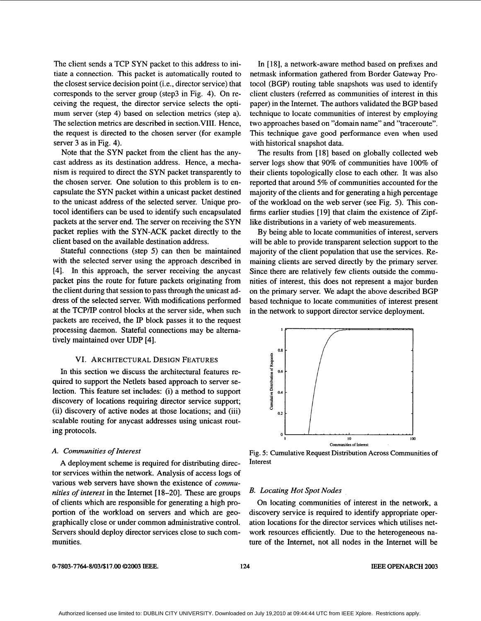The client sends a TCP SYN packet to this address to initiate a connection. This packet is automatically routed to the closest service decision point (i.e., director service) that corresponds to the server group (step3 in Fig. 4). On receiving the request, the director service selects the optimum server (step 4) based on selection metrics (step a). The selection metrics are described in section.VII1. Hence, the request is directed to the chosen server (for example server 3 as in Fig. 4).

Note that the SYN packet from the client has the anycast address as its destination address. Hence, a mechanism is required to direct the SYN packet transparently to the chosen server. One solution to this problem is to encapsulate the SYN packet within a unicast packet destined to the unicast address of the selected server. Unique protocol identifiers can be used to identify such encapsulated packets at the server end. The server on receiving the SYN packet replies with the SYN-ACK packet directly to the client based on the available destination address.

Stateful connections (step *5)* can then be maintained with the selected server using the approach described in [4]. In this approach, the server receiving the anycast packet pins the route for future packets originating from the client during that session to pass through the unicast address of the selected server. With modifications performed at the TCP/IP control blocks at the server side, when such packets are received, the IP block passes it to the request processing daemon. Stateful connections may be altematively maintained over UDP [4].

# VI. ARCHITECTURAL DESIGN FEATURES

In this section we discuss the architectural features required to support the Netlets based approach to server selection. This feature set includes: (i) a method to support discovery of locations requiring director service support; (ii) discovery of active nodes at those locations; and (iii) scalable routing for anycast addresses using unicast routing protocols.

#### *A. Communities of Interest*

A deployment scheme is required for distributing director services within the network. Analysis of access logs of various web servers have shown the existence of *communities of interest* in the Internet [ 18-20]. These are groups of clients which are responsible for generating a high proportion of 'the workload on servers and which are geographically close or under common administrative control. Servers should deploy director services close to such communities.

In [18], a network-aware method based on prefixes and netmask information gathered from Border Gateway Protocol (BGP) routing table snapshots was used to identify client clusters (referred as communities of interest in this paper) in the Intemet. The authors validated the BGP based technique to locate communities of interest by employing two approaches based on "domain name" and "traceroute". This technique gave good performance even when used with historical snapshot data.

The results from [18] based on globally collected web server logs show that 90% of communities have 100% of their clients topologically close to each other. It was also reported that around *5%* of communities accounted for the majority of the clients and for generating a high percentage of the workload on the web server (see Fig. *5).* This confirms earlier studies [19] that claim the existence of Zipflike distributions in a variety of web measurements.

By being able to locate communities of interest, servers will be able to provide transparent selection support to the majority of the client population that use the services. Remaining clients are served directly by the primary server. Since there are relatively few clients outside the communities of interest, this does not represent a major burden on the primary server. We adapt the above described BGP based technique to locate communities *of* interest present in the network to support director service deployment.



Fig. *5:* Cumulative Request Distribution Across Communities of Interest

### *B. Locating Hot Spot Nodes*

On locating communities of interest in the network, a discovery service is required to identify appropriate operation locations for the director services which utilises network resources efficiently. Due to the heterogeneous nature of the Internet, not all nodes in the Intemet will be

**0-7803-7764-8/03/\$17.00 a2003 EEE. 124 IEEE OPENARCH 2003**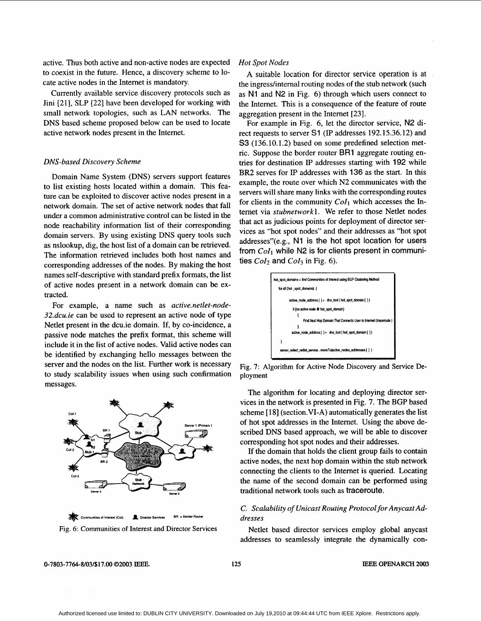active. Thus both active and non-active nodes are expected to coexist in the future. Hence, a discovery scheme to locate active nodes in the Internet is mandatory.

Currently available service discovery protocols such as Jini **[21], SLP [22]** have been developed for working with small network topologies, such as LAN networks. The DNS based scheme proposed below can be used to locate active network nodes present in the Internet.

# *DNS-based Discovery Scheme*

Domain Name System (DNS) servers support features to list existing hosts located within a domain. This feature can be exploited to discover active nodes present in a network domain. The set of active network nodes that fall under a common administrative control can be listed in the node reachability information list of their corresponding domain servers. By using existing DNS query tools such as nslookup, dig, the host list of a domain can be retrieved. The information retrieved includes both host names and corresponding addresses of the nodes. By making the host names self-descriptive with standard prefix formats, the list of active nodes present in a network domain can be extracted.

For example, a name such as *active.netlet-node-32.dcu.ie* can be used to represent an active node **of** type Netlet present in the dcu.ie domain. If, by co-incidence, a passive node matches the prefix format, this scheme will include it in the list of active nodes. Valid active nodes can be identified by exchanging hello messages between the server and the nodes on the list. Further work is necessary to study scalability issues when using such confirmation messages.





# Fig. 6: Communities of Interest and Director Services

#### *Hot Spot Nodes*

A suitable location for director service operation is at the ingress/internal routing nodes of the stub network (such as **N1** and **N2** in Fig. **6)** through which users connect to the Internet. This is a consequence of the feature of route aggregation present in the Internet **[23].** 

For example in Fig. **6,** let the director service, **N2** direct requests to server **S1** (IP addresses **192.15.36.12)** and **S3** (136.10.1.2) based on some predefined selection metric. Suppose the border router **BR1** aggregate routing entries for destination IP addresses starting with **192** while BR2 serves for IP addresses with **136** as the start. In this example, the route over which N2 communicates with the servers will share many links with the corresponding routes for clients in the community  $Col_1$  which accesses the Internet via *stubnetworkl.* We refer to those Netlet nodes that act as judicious points for deployment of director services as "hot spot nodes" and their addresses as "hot spot addresses"(e.g., **N1 is the hot spot location for users from** *Col1* **while N2 is for clients present in communi-** $\frac{1}{2}$  **ties**  $Col_2$  **and**  $Col_3$  **in** Fig. 6).



**Fig. 7: Algorithm for Active Node Discovery and Service Deployment** 

The algorithm for locating and deploying director services in the network is presented in Fig. 7. The **BGP** based scheme [ **181** (section.VI-A) automatically generates the list of hot spot addresses in the Internet. Using the above described DNS based approach, we will be able to discover corresponding hot spot nodes and their addresses.

If the domain that holds the client group fails to contain active nodes, the next hop domain within the stub network connecting the clients to the Internet **is** queried. Locating the name of the second domain can be performed using traditional network tools such as **traceroute.** 

# **C.** *Scalability of Unicast Routing Protocol for Anycast Addresses*

Netlet based director services employ global anycast addresses to seamlessly integrate the dynamically con-

**0-7803-7764-8/03/\$17.O0 a2003 IEEE.** 1 **125 IEEE OPENARCH 2003**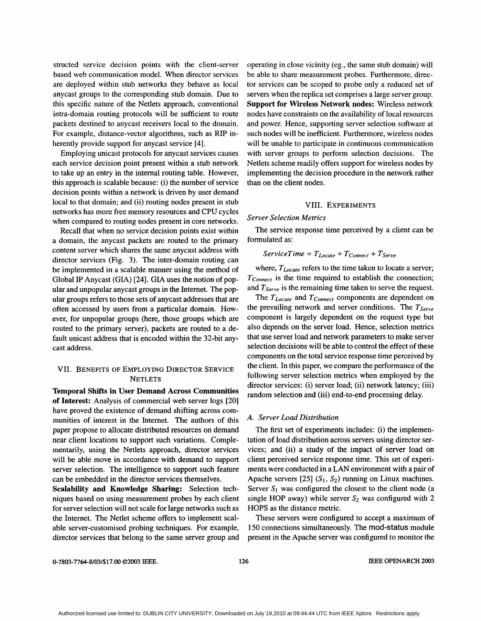structed service decision points with the client-server based web communication model. When director services are deployed within stub networks they behave as local anycast groups to the corresponding stub domain. Due to this specific nature of the Netlets approach, conventional intra-domain routing protocols will be sufficient to route packets destined to anycast receivers local to the domain. For example, distance-vector algorithms, such as **RIP** inherently provide support for anycast service [4].

Employing unicast protocols for anycast services causes each service decision point present within a stub network to take up an entry in the internal routing table. However, this approach is scalable because: (i) the number of service decision points within a network is driven by user demand local to that domain; and (ii) routing nodes present in stub networks has more free memory resources and CPU cycles when compared to routing nodes present in core networks.

Recall that when no service decision points exist within a domain, the anycast packets are routed to the primary content server which shares the same anycast address with director services (Fig. 3). The inter-domain routing can be implemented in a scalable manner using the method of Global IP Anycast (GIA) [24]. GIA uses the notion of popular and unpopular anycast groups in the Internet. The popular groups refers to those sets of anycast addresses that are often accessed by users from a particular domain. However, for unpopular groups (here, those groups which are routed to the primary server), packets are routed to a default unicast address that is encoded within the 32-bit anycast address.

# VII. BENEFITS OF EMPLOYING DIRECTOR SERVICE **NETLETS**

**Temporal Shifts** in **User Demand Across Communities of Interest:** Analysis of commercial web server logs [20] have proved the existence of demand shifting across communities of interest in the Internet. The authors of this paper propose to allocate distributed resources on demand near client locations to support such variations. Complementarily, using the Netlets approach, director services will be able move in accordance with demand to support server selection. The intelligence to support such feature can be embedded in the director services themselves.

**Scalability and Knowledge Sharing:** Selection techniques based on using measurement probes by each client for server selection will not scale for large networks such as the Internet. The Netlet scheme offers to implement scalable server-customised probing techniques. For example, director services that belong to the same server group and

operating in close vicinity (eg., the same stub domain) will be able to share measurement probes. Furthermore, director services can be scoped to probe only a reduced set of servers when the replica set comprises a large server group. **Support for Wireless Network nodes:** Wireless network nodes have constraints on the availability of local resources and power. Hence, supporting server selection software at such nodes will be inefficient. Furthermore, wireless nodes will be unable to participate in continuous communication with server groups to perform selection decisions. The Netlets scheme readily offers support for wireless nodes by implementing the decision procedure in the network rather than on the client nodes.

### VIII. EXPERIMENTS

# *Server Selection Metrics*

formulated as: The service response time perceived by a client can be

$$
ServiceTime = T_{Locate} + T_{Connect} + T_{Server}
$$

where,  $T_{Locate}$  refers to the time taken to locate a server; *TConnect* is the time required to establish the connection; and *Tserye* is the remaining time taken to serve the request.

The  $T_{Locate}$  and  $T_{Connect}$  components are dependent on the prevailing network and server conditions. The *T*<sub>Serve</sub> component is largely dependent on the request type but also depends on the server load. Hence, selection metrics that use server load and network parameters to make server selection decisions will be able to control the effect of these components on the total service response time perceived by the client. In this paper, we compare the performance of the following server selection metrics when employed by the director services: (i) server load; (ii) network latency; (iii) random selection and (iii) end-to-end processing delay.

#### **A.** *Server Load Distribution*

The first set of experiments includes: (i) the implementation of load distribution across servers using director services; and (ii) a study of the impact of server load on client perceived service response time. This set of experiments were conducted in a LAN environment with a pair of Apache servers  $[25]$   $(S_1, S_2)$  running on Linux machines. Server  $S_1$  was configured the closest to the client node (a single HOP away) while server  $S_2$  was configured with 2 HOPS as the distance metric.

These servers were configured to accept a maximum of 150 connections simultaneously. The **mod-status** module present in the Apache server was configured to monitor the

**0-7803-7764-8/03/\$17.00 632003 IEEE. 126 IEEE OPENARCH 2003**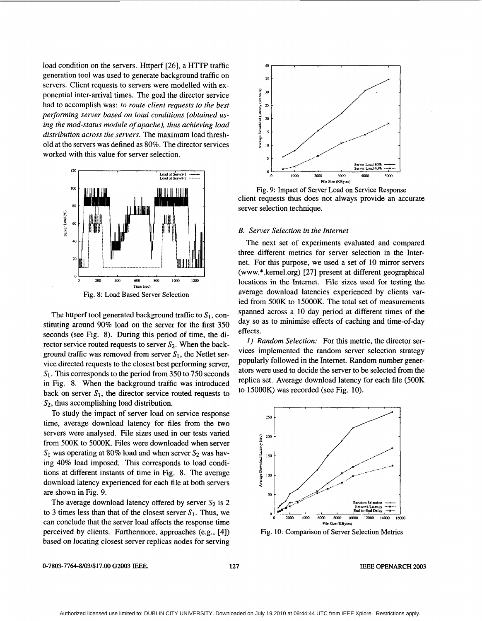<span id="page-7-0"></span>load condition on the servers. Httperf [26], a HTTP traffic generation tool was used to generate background traffic on servers. Client requests to servers were modelled with exponential inter-arrival times. The goal the director service had to accomplish was: *to route client requests to the best*  performing server based on load conditions (obtained us*ing the mod-status module of apache), thus achieving load distribution across the sewers.* The maximum load threshold at the servers was defined as 80%. The director services worked with this value for server selection.



**Fig. 8:** Load Based Server Selection

The httperf tool generated background traffic to  $S_1$ , constituting around 90% load on the server for the first 350 seconds (see Fig. 8). During this period of time, the director service routed requests to server  $S_2$ . When the background traffic was removed from server  $S_1$ , the Netlet service directed requests to the closest best performing server,  $S<sub>1</sub>$ . This corresponds to the period from 350 to 750 seconds in Fig. 8. When the background traffic was introduced back on server  $S_1$ , the director service routed requests to *S2,* thus accomplishing load distribution.

To study the impact of server load on service response time, average download latency for files from the two servers were analysed. File sizes used in our tests varied from **500K** to 5000K. Files were downloaded when server  $S_1$  was operating at 80% load and when server  $S_2$  was having 40% load imposed. This corresponds to load conditions at different instants of time in Fig. 8. The average download latency experienced for each file at both servers are shown in Fig. 9.

The average download latency offered by server  $S_2$  is 2 to 3 times less than that of the closest server  $S_1$ . Thus, we can conclude that the server load affects the response time perceived by clients. Furthermore, approaches (e.g.. [4]) based on locating closest server replicas nodes for serving



**Fig. 9:** Impact **of** Server Load on Service Response client requests thus does not always provide an accurate server selection technique.

#### *B. Server Selection in the Internet*

The next set of experiments evaluated and compared three different metrics for server selection in the Internet. For this purpose, we used a set of 10 mirror servers (www.\*.kemel.org) [27] present at different geographical locations in the Internet. File sizes used for testing the average download latencies experienced by clients varied from 500K to 15000K. The total set of measurements spanned across a 10 day period at different times of the day so as to minimise effects of caching and time-of-day effects.

*1) Random Selection:* For this metric, the director services implemented the random server selection strategy popularly followed in the Internet. Random number generators were used to decide the server to be selected from the replica set. Average download latency for each file (500K to 15000K) was recorded (see Fig. 10).



**Fig. 10:** Comparison **of** Server Selection Metrics

**0-7803-7764-8/03/\$17.00 02003 IEEJX. 127 IEEE OPENARCH 2003**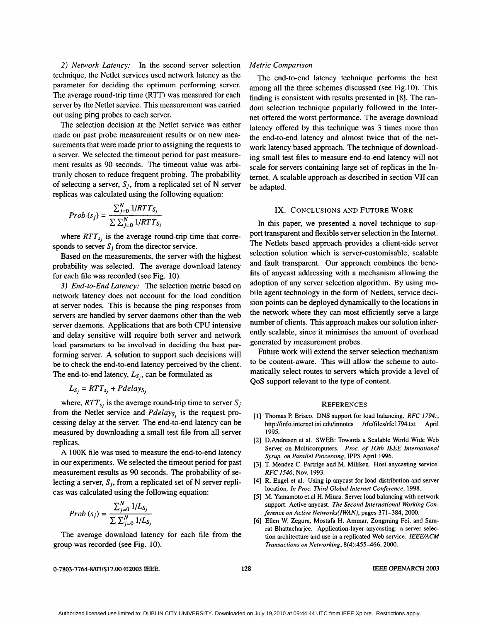The selection decision at the Netlet service was either made on past probe measurement results or on new measurements that were made prior to assigning the requests to a server. We selected the timeout period for past measurement results as 90 seconds. The timeout value was arbitrarily chosen to reduce frequent probing. The probability of selecting a server,  $S_i$ , from a replicated set of N server replicas was calculated using the following equation:

$$
Prob\left(s_{j}\right)=\frac{\sum_{j=0}^{N}1/RTT_{S_{j}}}{\sum\sum_{i=0}^{N}1/RTT_{S_{j}}}
$$

where  $RTT_{s_i}$  is the average round-trip time that corresponds to server  $S_i$  from the director service.

Based on the measurements, the server with the highest probability was selected. The average download latency for each file was recorded (see [Fig.](#page-7-0) *10).* 

*3) End-to-End Latency:* The selection metric based on network latency does not account for the load condition at server nodes. This is because the ping responses from servers are handled by server daemons other than the web server daemons. Applications that are both **CPU** intensive and delay sensitive will require both server and network load parameters to be involved in deciding the best performing server. A solution to support such decisions will be to check the end-to-end latency perceived by the client. The end-to-end latency, *Ls,,* can be formulated as

$$
L_{S_i} = RTT_{s_i} + Pdelays_i
$$

where,  $RTT_{s_i}$  is the average round-trip time to server  $S_j$ from the Netlet service and *Pdelay<sub>Si</sub>* is the request processing delay at the server. The end-to-end latency can be measured by downloading a small test file from all server replicas.

A **lOOK** file was used to measure the end-to-end latency in our experiments. We selected the timeout period for past measurement results as 90 seconds. The probability of selecting a server,  $S_i$ , from a replicated set of N server replicas was calculated using the following equation:

*Prob* (
$$
s_j
$$
) = 
$$
\frac{\sum_{j=0}^{N} 1/L_{S_j}}{\sum \sum_{i=0}^{N} 1/L_{S_i}}
$$

The average download latency for each file from the group was recorded (see [Fig. 10\).](#page-7-0)

### *Metric Comparison*

The end-to-end latency technique performs the best among all the three schemes discussed (see Fig.10). This finding is consistent with results presented in **[8].** The random selection technique popularly followed in the Internet offered the worst performance. The average download latency offered by this technique was 3 times more than the end-to-end latency and almost twice that of the network latency based approach. The technique of downloading small test files to measure end-to-end latency will not scale for servers containing large set of replicas in the Internet. A scalable approach as described in section VI1 can be adapted.

### Ix. **CONCLUSIONS AND FUTURE WORK**

In this paper, we presented a novel technique to support transparent and flexible server selection in the Internet. The Netlets based approach provides a client-side server selection solution which is server-customisable, scalable and fault transparent. Our approach combines the benefits of anycast addressing with a mechanism allowing the adoption of any server selection algorithm. By using mobile agent technology in the form of Netlets, service decision points can be deployed dynamically to the locations in the network where they can most efficiently serve a large number of clients. This approach makes our solution inherently scalable, since it minimises the amount of overhead generated by measurement probes.

Future work will extend the server selection mechanism to be content-aware. This will allow the scheme **to** automatically select routes to servers which provide a level of *QoS* support relevant to the type of content.

# **REFERENCES**

- **Thomas P. Brisco. DNS support for load balancing.** *RFC 1794:,*  **[http://info.intemet.isi.edu/innote](http://info.intemet.isi.edu/innotes)s /rfc/files/rfcl794.txt April 1995.**
- **D.Andresen et al. SWEB: Towards a Scalable World Wide Web Server on Multicomputers.** *Proc. of 10th IEEE International Syrup. on Parallel Processing,* **IPPS April 1996.**
- **T. Mendez C. Partrige and M. Miliken. Host anycasting service.**  *RFC* **1546, Nov. 1993.**
- **R. Engel et al. Using ip anycast for load distribution and server location.** *In Proc. Third Global Internet Conference,* **1998.**
- **M. Yamamoto et.al H. Miura. Server load balancing with network support: Active anycast.** *The Second Intemational Working Conference on Active Networks(lWAN),* **pages 371-384,2000.**
- **Ellen W. Zegura, Mostafa H. Ammar, Zongming Fei, and Samrat Bhattacharjee. Application-layer anycasting: a server selection architecture and use in a replicated Web service.** *IEEDACM Transactions on Networking,* **8(4):455-466,2000.**